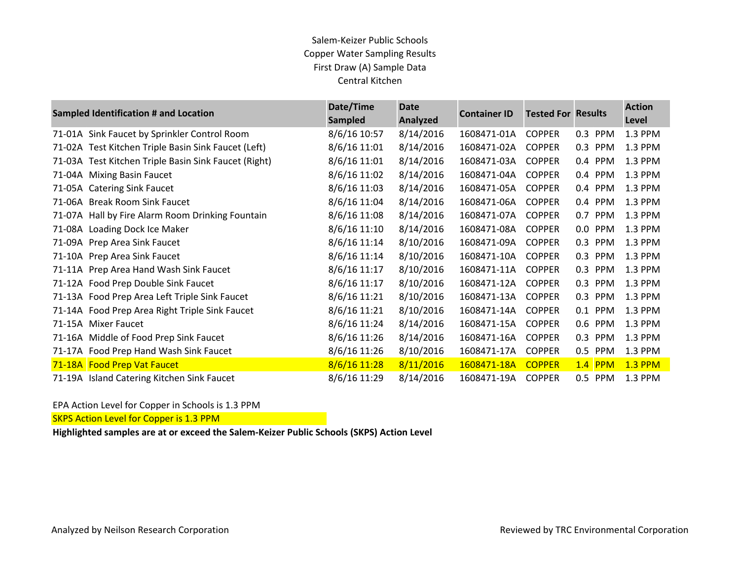## Salem-Keizer Public Schools Copper Water Sampling Results First Draw (A) Sample Data Central Kitchen

|        | <b>Sampled Identification # and Location</b>         | Date/Time<br><b>Sampled</b> | <b>Date</b><br>Analyzed | <b>Container ID</b> | <b>Tested For Results</b> |                       | <b>Action</b><br>Level |
|--------|------------------------------------------------------|-----------------------------|-------------------------|---------------------|---------------------------|-----------------------|------------------------|
|        | 71-01A Sink Faucet by Sprinkler Control Room         | 8/6/16 10:57                | 8/14/2016               | 1608471-01A         | <b>COPPER</b>             | 0.3<br><b>PPM</b>     | 1.3 PPM                |
|        | 71-02A Test Kitchen Triple Basin Sink Faucet (Left)  | 8/6/16 11:01                | 8/14/2016               | 1608471-02A         | <b>COPPER</b>             | 0.3<br><b>PPM</b>     | 1.3 PPM                |
|        | 71-03A Test Kitchen Triple Basin Sink Faucet (Right) | 8/6/16 11:01                | 8/14/2016               | 1608471-03A         | <b>COPPER</b>             | 0.4<br>PPM            | 1.3 PPM                |
| 71-04A | <b>Mixing Basin Faucet</b>                           | 8/6/16 11:02                | 8/14/2016               | 1608471-04A         | <b>COPPER</b>             | <b>PPM</b><br>0.4     | 1.3 PPM                |
|        | 71-05A Catering Sink Faucet                          | 8/6/16 11:03                | 8/14/2016               | 1608471-05A         | <b>COPPER</b>             | 0.4 PPM               | 1.3 PPM                |
| 71-06A | <b>Break Room Sink Faucet</b>                        | 8/6/16 11:04                | 8/14/2016               | 1608471-06A         | <b>COPPER</b>             | <b>PPM</b><br>$0.4\,$ | 1.3 PPM                |
|        | 71-07A Hall by Fire Alarm Room Drinking Fountain     | 8/6/16 11:08                | 8/14/2016               | 1608471-07A         | <b>COPPER</b>             | 0.7<br>PPM            | 1.3 PPM                |
| 71-08A | Loading Dock Ice Maker                               | 8/6/16 11:10                | 8/14/2016               | 1608471-08A         | <b>COPPER</b>             | 0.0<br><b>PPM</b>     | 1.3 PPM                |
|        | 71-09A Prep Area Sink Faucet                         | 8/6/16 11:14                | 8/10/2016               | 1608471-09A         | <b>COPPER</b>             | 0.3<br><b>PPM</b>     | 1.3 PPM                |
|        | 71-10A Prep Area Sink Faucet                         | 8/6/16 11:14                | 8/10/2016               | 1608471-10A         | <b>COPPER</b>             | 0.3<br><b>PPM</b>     | 1.3 PPM                |
|        | 71-11A Prep Area Hand Wash Sink Faucet               | 8/6/16 11:17                | 8/10/2016               | 1608471-11A         | <b>COPPER</b>             | 0.3<br><b>PPM</b>     | 1.3 PPM                |
|        | 71-12A Food Prep Double Sink Faucet                  | 8/6/16 11:17                | 8/10/2016               | 1608471-12A         | <b>COPPER</b>             | 0.3<br><b>PPM</b>     | 1.3 PPM                |
|        | 71-13A Food Prep Area Left Triple Sink Faucet        | 8/6/16 11:21                | 8/10/2016               | 1608471-13A         | <b>COPPER</b>             | 0.3<br><b>PPM</b>     | 1.3 PPM                |
|        | 71-14A Food Prep Area Right Triple Sink Faucet       | 8/6/16 11:21                | 8/10/2016               | 1608471-14A         | <b>COPPER</b>             | 0.1 PPM               | 1.3 PPM                |
| 71-15A | <b>Mixer Faucet</b>                                  | 8/6/16 11:24                | 8/14/2016               | 1608471-15A         | <b>COPPER</b>             | 0.6<br><b>PPM</b>     | 1.3 PPM                |
|        | 71-16A Middle of Food Prep Sink Faucet               | 8/6/16 11:26                | 8/14/2016               | 1608471-16A         | <b>COPPER</b>             | 0.3<br><b>PPM</b>     | 1.3 PPM                |
|        | 71-17A Food Prep Hand Wash Sink Faucet               | 8/6/16 11:26                | 8/10/2016               | 1608471-17A         | <b>COPPER</b>             | <b>PPM</b><br>0.5     | 1.3 PPM                |
|        | 71-18A Food Prep Vat Faucet                          | 8/6/16 11:28                | 8/11/2016               | 1608471-18A         | <b>COPPER</b>             | $1.4$ PPM             | <b>1.3 PPM</b>         |
|        | 71-19A Island Catering Kitchen Sink Faucet           | 8/6/16 11:29                | 8/14/2016               | 1608471-19A         | <b>COPPER</b>             | 0.5<br><b>PPM</b>     | 1.3 PPM                |

#### EPA Action Level for Copper in Schools is 1.3 PPM

**SKPS Action Level for Copper is 1.3 PPM** 

**Highlighted samples are at or exceed the Salem-Keizer Public Schools (SKPS) Action Level**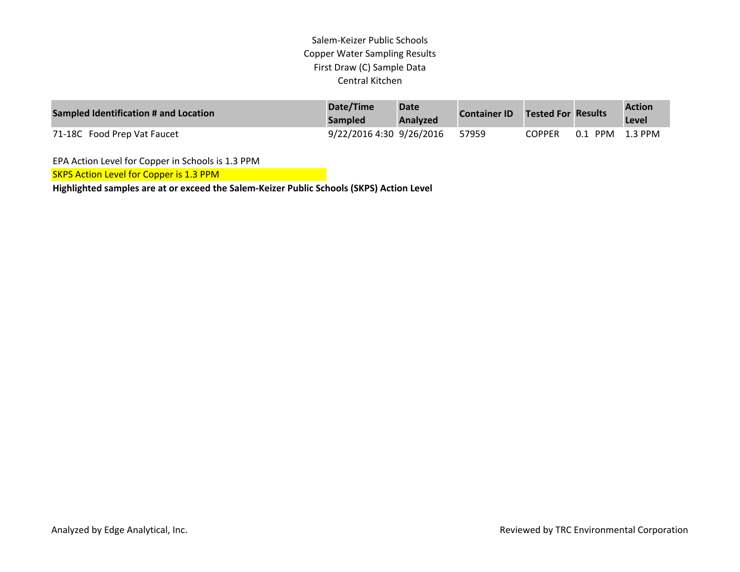### Salem‐Keizer Public Schools Copper Water Sampling Results First Draw (C) Sample Data Central Kitchen

| Sampled Identification # and Location | Date/Time<br><b>Sampled</b> | <b>Date</b><br>Analyzed | <b>Container ID</b> | Tested For Results |         | <b>Action</b><br>Level |
|---------------------------------------|-----------------------------|-------------------------|---------------------|--------------------|---------|------------------------|
| 71-18C Food Prep Vat Faucet           | 9/22/2016 4:30 9/26/2016    |                         | 57959               | COPPER-            | 0.1 PPM | 1.3 PPM                |

EPA Action Level for Copper in Schools is 1.3 PPM

SKPS Action Level for Copper is 1.3 PPM

**Highlighted samples are at or exceed the Salem‐Keizer Public Schools (SKPS) Action Level**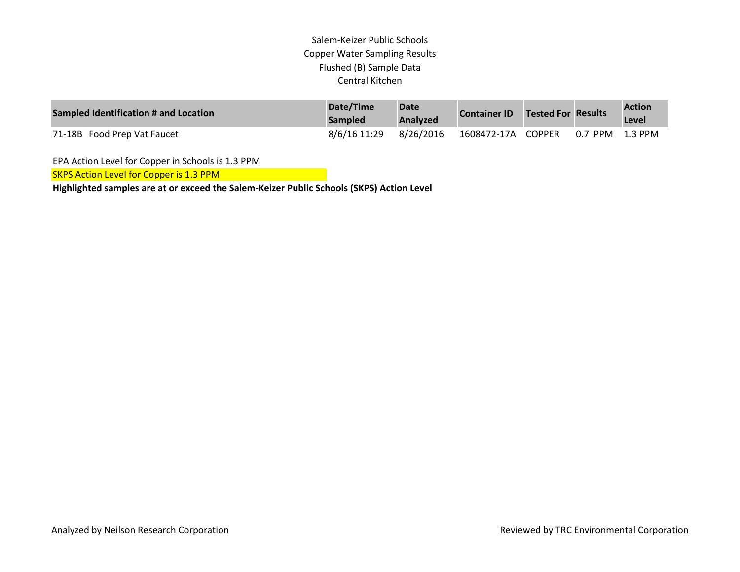# Salem-Keizer Public Schools Copper Water Sampling Results Flushed (B) Sample Data Central Kitchen

| Sampled Identification # and Location | Date/Time<br><b>Sampled</b> | <b>Date</b><br>Analyzed | <b>Container ID</b> | Tested For Results |                 | <b>Action</b><br>Level |
|---------------------------------------|-----------------------------|-------------------------|---------------------|--------------------|-----------------|------------------------|
| 71-18B Food Prep Vat Faucet           | 8/6/16 11:29                | 8/26/2016               | 1608472-17A COPPER  |                    | 0.7 PPM 1.3 PPM |                        |

EPA Action Level for Copper in Schools is 1.3 PPM

SKPS Action Level for Copper is 1.3 PPM

**Highlighted samples are at or exceed the Salem-Keizer Public Schools (SKPS) Action Level**